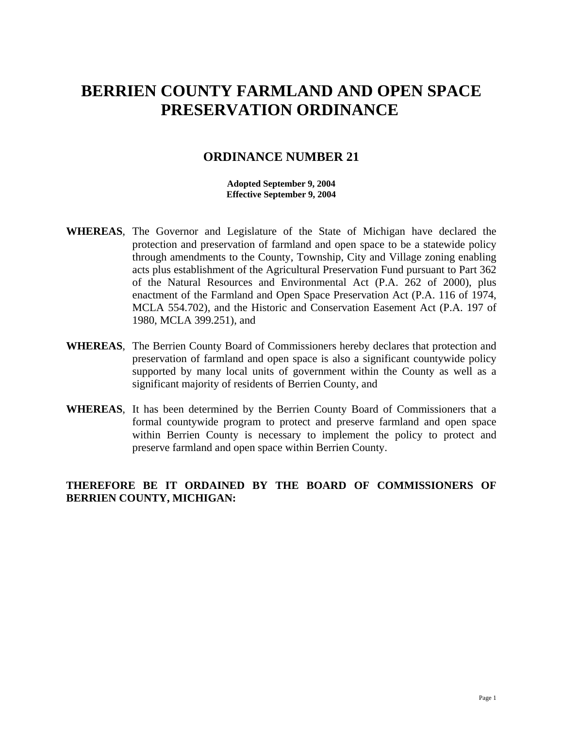# **BERRIEN COUNTY FARMLAND AND OPEN SPACE PRESERVATION ORDINANCE**

### **ORDINANCE NUMBER 21**

**Adopted September 9, 2004 Effective September 9, 2004**

- **WHEREAS**, The Governor and Legislature of the State of Michigan have declared the protection and preservation of farmland and open space to be a statewide policy through amendments to the County, Township, City and Village zoning enabling acts plus establishment of the Agricultural Preservation Fund pursuant to Part 362 of the Natural Resources and Environmental Act (P.A. 262 of 2000), plus enactment of the Farmland and Open Space Preservation Act (P.A. 116 of 1974, MCLA 554.702), and the Historic and Conservation Easement Act (P.A. 197 of 1980, MCLA 399.251), and
- **WHEREAS**, The Berrien County Board of Commissioners hereby declares that protection and preservation of farmland and open space is also a significant countywide policy supported by many local units of government within the County as well as a significant majority of residents of Berrien County, and
- **WHEREAS**, It has been determined by the Berrien County Board of Commissioners that a formal countywide program to protect and preserve farmland and open space within Berrien County is necessary to implement the policy to protect and preserve farmland and open space within Berrien County.

### **THEREFORE BE IT ORDAINED BY THE BOARD OF COMMISSIONERS OF BERRIEN COUNTY, MICHIGAN:**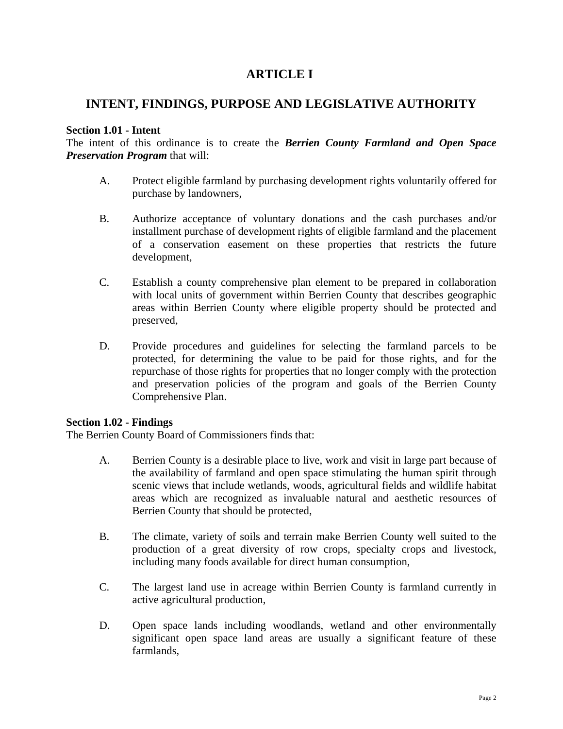# **ARTICLE I**

# **INTENT, FINDINGS, PURPOSE AND LEGISLATIVE AUTHORITY**

### **Section 1.01 - Intent**

The intent of this ordinance is to create the *Berrien County Farmland and Open Space Preservation Program* that will:

- A. Protect eligible farmland by purchasing development rights voluntarily offered for purchase by landowners,
- B. Authorize acceptance of voluntary donations and the cash purchases and/or installment purchase of development rights of eligible farmland and the placement of a conservation easement on these properties that restricts the future development,
- C. Establish a county comprehensive plan element to be prepared in collaboration with local units of government within Berrien County that describes geographic areas within Berrien County where eligible property should be protected and preserved,
- D. Provide procedures and guidelines for selecting the farmland parcels to be protected, for determining the value to be paid for those rights, and for the repurchase of those rights for properties that no longer comply with the protection and preservation policies of the program and goals of the Berrien County Comprehensive Plan.

### **Section 1.02 - Findings**

The Berrien County Board of Commissioners finds that:

- A. Berrien County is a desirable place to live, work and visit in large part because of the availability of farmland and open space stimulating the human spirit through scenic views that include wetlands, woods, agricultural fields and wildlife habitat areas which are recognized as invaluable natural and aesthetic resources of Berrien County that should be protected,
- B. The climate, variety of soils and terrain make Berrien County well suited to the production of a great diversity of row crops, specialty crops and livestock, including many foods available for direct human consumption,
- C. The largest land use in acreage within Berrien County is farmland currently in active agricultural production,
- D. Open space lands including woodlands, wetland and other environmentally significant open space land areas are usually a significant feature of these farmlands,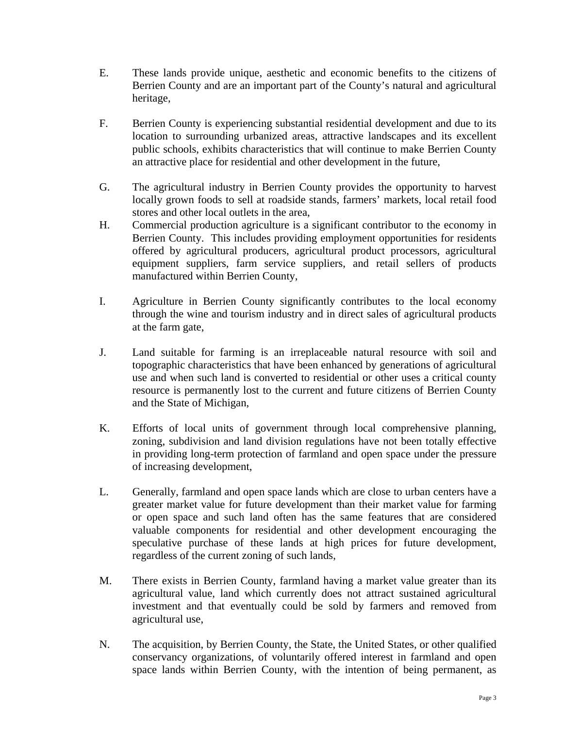- E. These lands provide unique, aesthetic and economic benefits to the citizens of Berrien County and are an important part of the County's natural and agricultural heritage,
- F. Berrien County is experiencing substantial residential development and due to its location to surrounding urbanized areas, attractive landscapes and its excellent public schools, exhibits characteristics that will continue to make Berrien County an attractive place for residential and other development in the future,
- G. The agricultural industry in Berrien County provides the opportunity to harvest locally grown foods to sell at roadside stands, farmers' markets, local retail food stores and other local outlets in the area,
- H. Commercial production agriculture is a significant contributor to the economy in Berrien County. This includes providing employment opportunities for residents offered by agricultural producers, agricultural product processors, agricultural equipment suppliers, farm service suppliers, and retail sellers of products manufactured within Berrien County,
- I. Agriculture in Berrien County significantly contributes to the local economy through the wine and tourism industry and in direct sales of agricultural products at the farm gate,
- J. Land suitable for farming is an irreplaceable natural resource with soil and topographic characteristics that have been enhanced by generations of agricultural use and when such land is converted to residential or other uses a critical county resource is permanently lost to the current and future citizens of Berrien County and the State of Michigan,
- K. Efforts of local units of government through local comprehensive planning, zoning, subdivision and land division regulations have not been totally effective in providing long-term protection of farmland and open space under the pressure of increasing development,
- L. Generally, farmland and open space lands which are close to urban centers have a greater market value for future development than their market value for farming or open space and such land often has the same features that are considered valuable components for residential and other development encouraging the speculative purchase of these lands at high prices for future development, regardless of the current zoning of such lands,
- M. There exists in Berrien County, farmland having a market value greater than its agricultural value, land which currently does not attract sustained agricultural investment and that eventually could be sold by farmers and removed from agricultural use,
- N. The acquisition, by Berrien County, the State, the United States, or other qualified conservancy organizations, of voluntarily offered interest in farmland and open space lands within Berrien County, with the intention of being permanent, as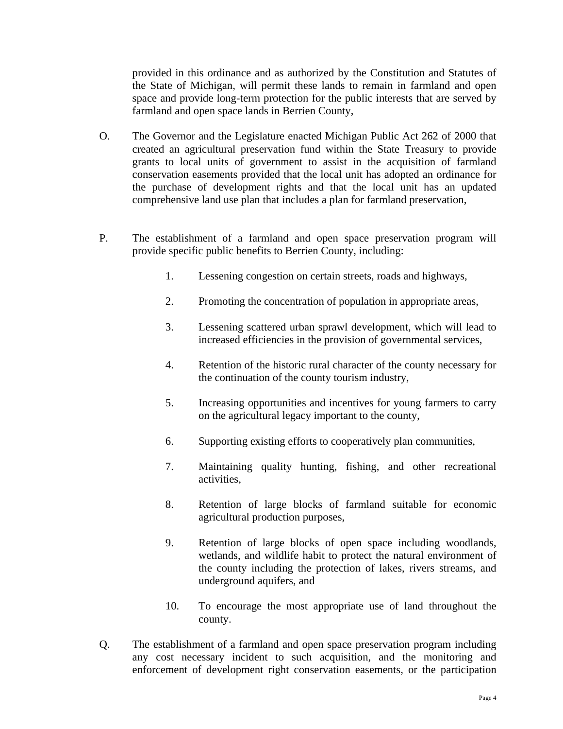provided in this ordinance and as authorized by the Constitution and Statutes of the State of Michigan, will permit these lands to remain in farmland and open space and provide long-term protection for the public interests that are served by farmland and open space lands in Berrien County,

- O. The Governor and the Legislature enacted Michigan Public Act 262 of 2000 that created an agricultural preservation fund within the State Treasury to provide grants to local units of government to assist in the acquisition of farmland conservation easements provided that the local unit has adopted an ordinance for the purchase of development rights and that the local unit has an updated comprehensive land use plan that includes a plan for farmland preservation,
- P. The establishment of a farmland and open space preservation program will provide specific public benefits to Berrien County, including:
	- 1. Lessening congestion on certain streets, roads and highways,
	- 2. Promoting the concentration of population in appropriate areas,
	- 3. Lessening scattered urban sprawl development, which will lead to increased efficiencies in the provision of governmental services,
	- 4. Retention of the historic rural character of the county necessary for the continuation of the county tourism industry,
	- 5. Increasing opportunities and incentives for young farmers to carry on the agricultural legacy important to the county,
	- 6. Supporting existing efforts to cooperatively plan communities,
	- 7. Maintaining quality hunting, fishing, and other recreational activities,
	- 8. Retention of large blocks of farmland suitable for economic agricultural production purposes,
	- 9. Retention of large blocks of open space including woodlands, wetlands, and wildlife habit to protect the natural environment of the county including the protection of lakes, rivers streams, and underground aquifers, and
	- 10. To encourage the most appropriate use of land throughout the county.
- Q. The establishment of a farmland and open space preservation program including any cost necessary incident to such acquisition, and the monitoring and enforcement of development right conservation easements, or the participation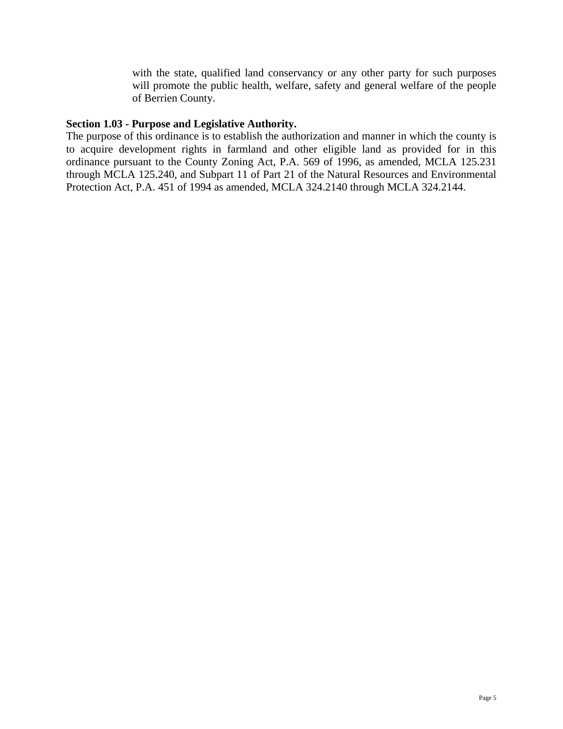with the state, qualified land conservancy or any other party for such purposes will promote the public health, welfare, safety and general welfare of the people of Berrien County.

#### **Section 1.03 - Purpose and Legislative Authority.**

The purpose of this ordinance is to establish the authorization and manner in which the county is to acquire development rights in farmland and other eligible land as provided for in this ordinance pursuant to the County Zoning Act, P.A. 569 of 1996, as amended, MCLA 125.231 through MCLA 125.240, and Subpart 11 of Part 21 of the Natural Resources and Environmental Protection Act, P.A. 451 of 1994 as amended, MCLA 324.2140 through MCLA 324.2144.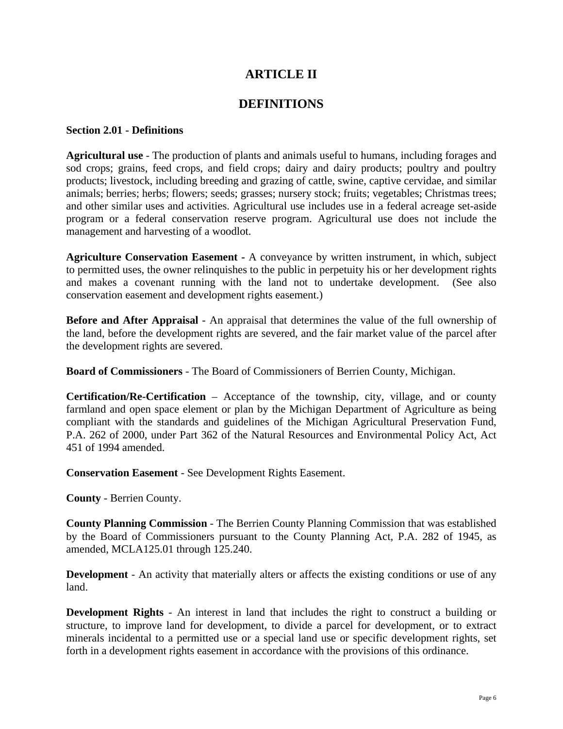# **ARTICLE II**

### **DEFINITIONS**

#### **Section 2.01 - Definitions**

**Agricultural use** - The production of plants and animals useful to humans, including forages and sod crops; grains, feed crops, and field crops; dairy and dairy products; poultry and poultry products; livestock, including breeding and grazing of cattle, swine, captive cervidae, and similar animals; berries; herbs; flowers; seeds; grasses; nursery stock; fruits; vegetables; Christmas trees; and other similar uses and activities. Agricultural use includes use in a federal acreage set-aside program or a federal conservation reserve program. Agricultural use does not include the management and harvesting of a woodlot.

**Agriculture Conservation Easement -** A conveyance by written instrument, in which, subject to permitted uses, the owner relinquishes to the public in perpetuity his or her development rights and makes a covenant running with the land not to undertake development. (See also conservation easement and development rights easement.)

**Before and After Appraisal** - An appraisal that determines the value of the full ownership of the land, before the development rights are severed, and the fair market value of the parcel after the development rights are severed.

**Board of Commissioners** - The Board of Commissioners of Berrien County, Michigan.

**Certification/Re-Certification** – Acceptance of the township, city, village, and or county farmland and open space element or plan by the Michigan Department of Agriculture as being compliant with the standards and guidelines of the Michigan Agricultural Preservation Fund, P.A. 262 of 2000, under Part 362 of the Natural Resources and Environmental Policy Act, Act 451 of 1994 amended.

**Conservation Easement** - See Development Rights Easement.

**County** - Berrien County.

**County Planning Commission** - The Berrien County Planning Commission that was established by the Board of Commissioners pursuant to the County Planning Act, P.A. 282 of 1945, as amended, MCLA125.01 through 125.240.

**Development** - An activity that materially alters or affects the existing conditions or use of any land.

**Development Rights** - An interest in land that includes the right to construct a building or structure, to improve land for development, to divide a parcel for development, or to extract minerals incidental to a permitted use or a special land use or specific development rights, set forth in a development rights easement in accordance with the provisions of this ordinance.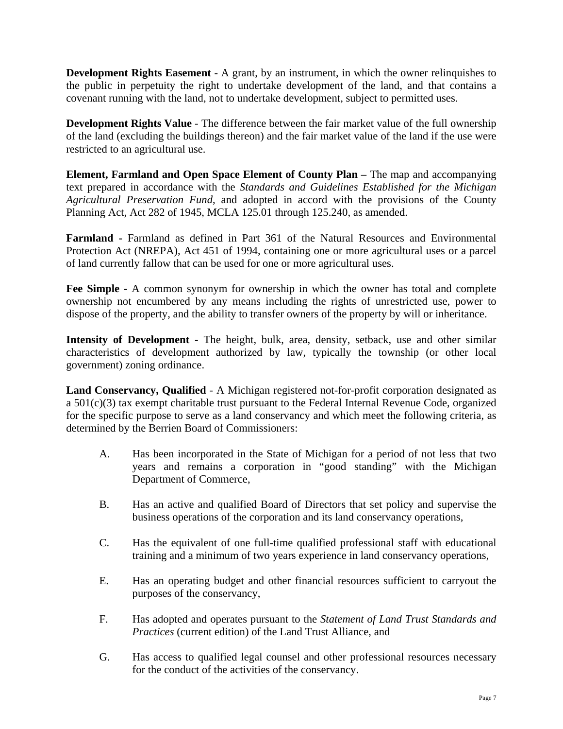**Development Rights Easement** - A grant, by an instrument, in which the owner relinquishes to the public in perpetuity the right to undertake development of the land, and that contains a covenant running with the land, not to undertake development, subject to permitted uses.

**Development Rights Value** - The difference between the fair market value of the full ownership of the land (excluding the buildings thereon) and the fair market value of the land if the use were restricted to an agricultural use.

**Element, Farmland and Open Space Element of County Plan – The map and accompanying** text prepared in accordance with the *Standards and Guidelines Established for the Michigan Agricultural Preservation Fund*, and adopted in accord with the provisions of the County Planning Act, Act 282 of 1945, MCLA 125.01 through 125.240, as amended.

**Farmland -** Farmland as defined in Part 361 of the Natural Resources and Environmental Protection Act (NREPA), Act 451 of 1994, containing one or more agricultural uses or a parcel of land currently fallow that can be used for one or more agricultural uses.

**Fee Simple -** A common synonym for ownership in which the owner has total and complete ownership not encumbered by any means including the rights of unrestricted use, power to dispose of the property, and the ability to transfer owners of the property by will or inheritance.

Intensity of Development - The height, bulk, area, density, setback, use and other similar characteristics of development authorized by law, typically the township (or other local government) zoning ordinance.

**Land Conservancy, Qualified** - A Michigan registered not-for-profit corporation designated as a 501(c)(3) tax exempt charitable trust pursuant to the Federal Internal Revenue Code, organized for the specific purpose to serve as a land conservancy and which meet the following criteria, as determined by the Berrien Board of Commissioners:

- A. Has been incorporated in the State of Michigan for a period of not less that two years and remains a corporation in "good standing" with the Michigan Department of Commerce,
- B. Has an active and qualified Board of Directors that set policy and supervise the business operations of the corporation and its land conservancy operations,
- C. Has the equivalent of one full-time qualified professional staff with educational training and a minimum of two years experience in land conservancy operations,
- E. Has an operating budget and other financial resources sufficient to carryout the purposes of the conservancy,
- F. Has adopted and operates pursuant to the *Statement of Land Trust Standards and Practices* (current edition) of the Land Trust Alliance, and
- G. Has access to qualified legal counsel and other professional resources necessary for the conduct of the activities of the conservancy.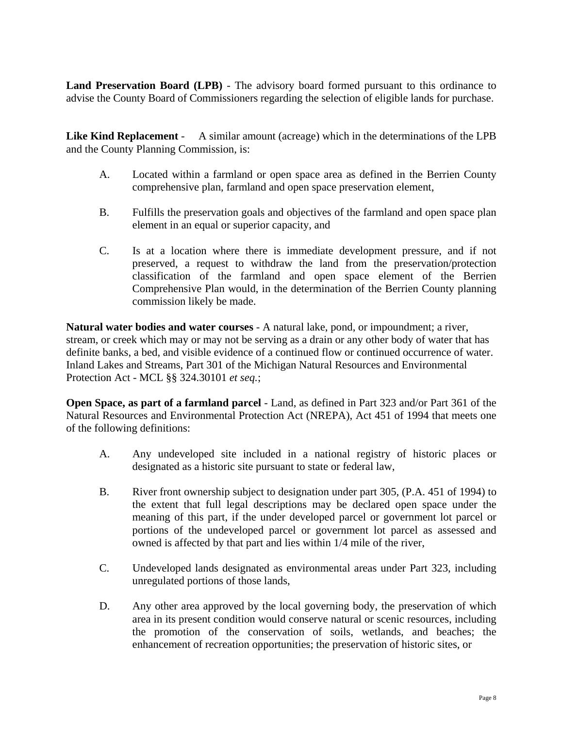**Land Preservation Board (LPB)** - The advisory board formed pursuant to this ordinance to advise the County Board of Commissioners regarding the selection of eligible lands for purchase.

**Like Kind Replacement** - A similar amount (acreage) which in the determinations of the LPB and the County Planning Commission, is:

- A. Located within a farmland or open space area as defined in the Berrien County comprehensive plan, farmland and open space preservation element,
- B. Fulfills the preservation goals and objectives of the farmland and open space plan element in an equal or superior capacity, and
- C. Is at a location where there is immediate development pressure, and if not preserved, a request to withdraw the land from the preservation/protection classification of the farmland and open space element of the Berrien Comprehensive Plan would, in the determination of the Berrien County planning commission likely be made.

**Natural water bodies and water courses** - A natural lake, pond, or impoundment; a river, stream, or creek which may or may not be serving as a drain or any other body of water that has definite banks, a bed, and visible evidence of a continued flow or continued occurrence of water. Inland Lakes and Streams, Part 301 of the Michigan Natural Resources and Environmental Protection Act - MCL §§ 324.30101 *et seq.*;

**Open Space, as part of a farmland parcel** - Land, as defined in Part 323 and/or Part 361 of the Natural Resources and Environmental Protection Act (NREPA), Act 451 of 1994 that meets one of the following definitions:

- A. Any undeveloped site included in a national registry of historic places or designated as a historic site pursuant to state or federal law,
- B. River front ownership subject to designation under part 305, (P.A. 451 of 1994) to the extent that full legal descriptions may be declared open space under the meaning of this part, if the under developed parcel or government lot parcel or portions of the undeveloped parcel or government lot parcel as assessed and owned is affected by that part and lies within 1/4 mile of the river,
- C. Undeveloped lands designated as environmental areas under Part 323, including unregulated portions of those lands,
- D. Any other area approved by the local governing body, the preservation of which area in its present condition would conserve natural or scenic resources, including the promotion of the conservation of soils, wetlands, and beaches; the enhancement of recreation opportunities; the preservation of historic sites, or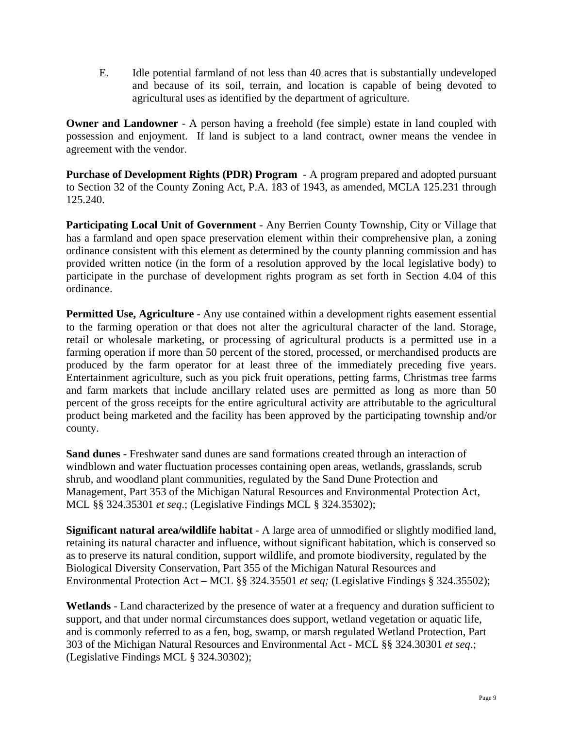E. Idle potential farmland of not less than 40 acres that is substantially undeveloped and because of its soil, terrain, and location is capable of being devoted to agricultural uses as identified by the department of agriculture.

**Owner and Landowner** - A person having a freehold (fee simple) estate in land coupled with possession and enjoyment. If land is subject to a land contract, owner means the vendee in agreement with the vendor.

**Purchase of Development Rights (PDR) Program** - A program prepared and adopted pursuant to Section 32 of the County Zoning Act, P.A. 183 of 1943, as amended, MCLA 125.231 through 125.240.

**Participating Local Unit of Government** - Any Berrien County Township, City or Village that has a farmland and open space preservation element within their comprehensive plan, a zoning ordinance consistent with this element as determined by the county planning commission and has provided written notice (in the form of a resolution approved by the local legislative body) to participate in the purchase of development rights program as set forth in Section 4.04 of this ordinance.

**Permitted Use, Agriculture** - Any use contained within a development rights easement essential to the farming operation or that does not alter the agricultural character of the land. Storage, retail or wholesale marketing, or processing of agricultural products is a permitted use in a farming operation if more than 50 percent of the stored, processed, or merchandised products are produced by the farm operator for at least three of the immediately preceding five years. Entertainment agriculture, such as you pick fruit operations, petting farms, Christmas tree farms and farm markets that include ancillary related uses are permitted as long as more than 50 percent of the gross receipts for the entire agricultural activity are attributable to the agricultural product being marketed and the facility has been approved by the participating township and/or county.

**Sand dunes** - Freshwater sand dunes are sand formations created through an interaction of windblown and water fluctuation processes containing open areas, wetlands, grasslands, scrub shrub, and woodland plant communities, regulated by the Sand Dune Protection and Management, Part 353 of the Michigan Natural Resources and Environmental Protection Act, MCL §§ 324.35301 *et seq*.; (Legislative Findings MCL § 324.35302);

**Significant natural area/wildlife habitat** - A large area of unmodified or slightly modified land, retaining its natural character and influence, without significant habitation, which is conserved so as to preserve its natural condition, support wildlife, and promote biodiversity, regulated by the Biological Diversity Conservation, Part 355 of the Michigan Natural Resources and Environmental Protection Act – MCL §§ 324.35501 *et seq;* (Legislative Findings § 324.35502);

**Wetlands** - Land characterized by the presence of water at a frequency and duration sufficient to support, and that under normal circumstances does support, wetland vegetation or aquatic life, and is commonly referred to as a fen, bog, swamp, or marsh regulated Wetland Protection, Part 303 of the Michigan Natural Resources and Environmental Act - MCL §§ 324.30301 *et seq*.; (Legislative Findings MCL § 324.30302);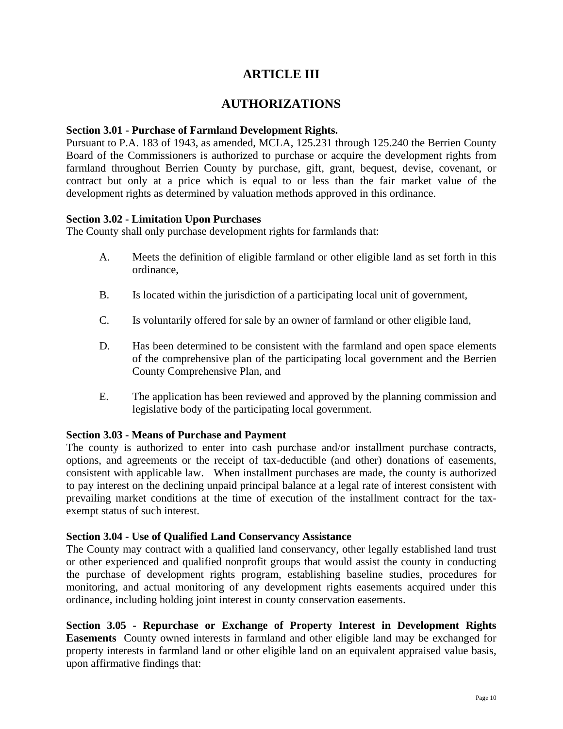# **ARTICLE III**

### **AUTHORIZATIONS**

#### **Section 3.01 - Purchase of Farmland Development Rights.**

Pursuant to P.A. 183 of 1943, as amended, MCLA, 125.231 through 125.240 the Berrien County Board of the Commissioners is authorized to purchase or acquire the development rights from farmland throughout Berrien County by purchase, gift, grant, bequest, devise, covenant, or contract but only at a price which is equal to or less than the fair market value of the development rights as determined by valuation methods approved in this ordinance.

### **Section 3.02 - Limitation Upon Purchases**

The County shall only purchase development rights for farmlands that:

- A. Meets the definition of eligible farmland or other eligible land as set forth in this ordinance,
- B. Is located within the jurisdiction of a participating local unit of government,
- C. Is voluntarily offered for sale by an owner of farmland or other eligible land,
- D. Has been determined to be consistent with the farmland and open space elements of the comprehensive plan of the participating local government and the Berrien County Comprehensive Plan, and
- E. The application has been reviewed and approved by the planning commission and legislative body of the participating local government.

### **Section 3.03 - Means of Purchase and Payment**

The county is authorized to enter into cash purchase and/or installment purchase contracts, options, and agreements or the receipt of tax-deductible (and other) donations of easements, consistent with applicable law. When installment purchases are made, the county is authorized to pay interest on the declining unpaid principal balance at a legal rate of interest consistent with prevailing market conditions at the time of execution of the installment contract for the taxexempt status of such interest.

### **Section 3.04 - Use of Qualified Land Conservancy Assistance**

The County may contract with a qualified land conservancy, other legally established land trust or other experienced and qualified nonprofit groups that would assist the county in conducting the purchase of development rights program, establishing baseline studies, procedures for monitoring, and actual monitoring of any development rights easements acquired under this ordinance, including holding joint interest in county conservation easements.

**Section 3.05 - Repurchase or Exchange of Property Interest in Development Rights Easements** County owned interests in farmland and other eligible land may be exchanged for property interests in farmland land or other eligible land on an equivalent appraised value basis, upon affirmative findings that: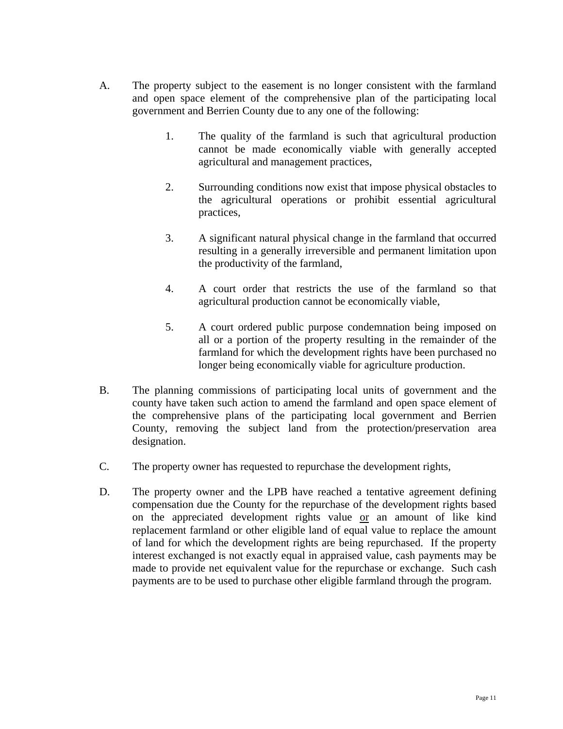- A. The property subject to the easement is no longer consistent with the farmland and open space element of the comprehensive plan of the participating local government and Berrien County due to any one of the following:
	- 1. The quality of the farmland is such that agricultural production cannot be made economically viable with generally accepted agricultural and management practices,
	- 2. Surrounding conditions now exist that impose physical obstacles to the agricultural operations or prohibit essential agricultural practices,
	- 3. A significant natural physical change in the farmland that occurred resulting in a generally irreversible and permanent limitation upon the productivity of the farmland,
	- 4. A court order that restricts the use of the farmland so that agricultural production cannot be economically viable,
	- 5. A court ordered public purpose condemnation being imposed on all or a portion of the property resulting in the remainder of the farmland for which the development rights have been purchased no longer being economically viable for agriculture production.
- B. The planning commissions of participating local units of government and the county have taken such action to amend the farmland and open space element of the comprehensive plans of the participating local government and Berrien County, removing the subject land from the protection/preservation area designation.
- C. The property owner has requested to repurchase the development rights,
- D. The property owner and the LPB have reached a tentative agreement defining compensation due the County for the repurchase of the development rights based on the appreciated development rights value or an amount of like kind replacement farmland or other eligible land of equal value to replace the amount of land for which the development rights are being repurchased. If the property interest exchanged is not exactly equal in appraised value, cash payments may be made to provide net equivalent value for the repurchase or exchange. Such cash payments are to be used to purchase other eligible farmland through the program.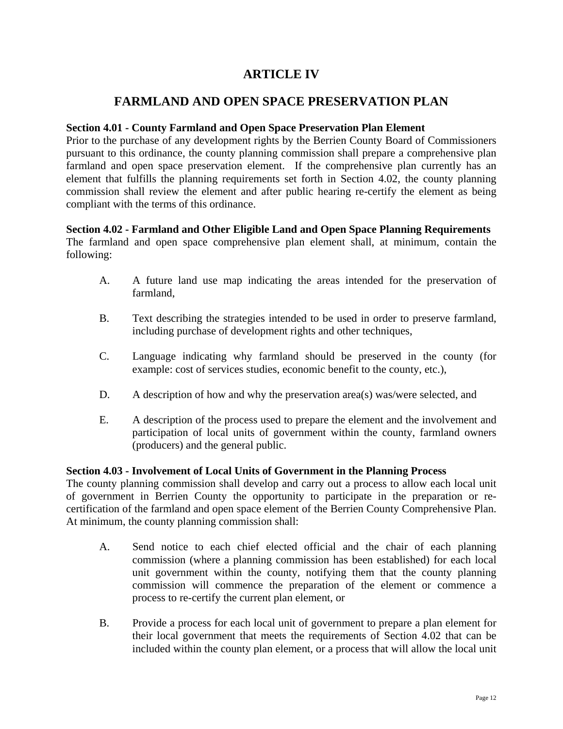# **ARTICLE IV**

### **FARMLAND AND OPEN SPACE PRESERVATION PLAN**

### **Section 4.01 - County Farmland and Open Space Preservation Plan Element**

Prior to the purchase of any development rights by the Berrien County Board of Commissioners pursuant to this ordinance, the county planning commission shall prepare a comprehensive plan farmland and open space preservation element. If the comprehensive plan currently has an element that fulfills the planning requirements set forth in Section 4.02, the county planning commission shall review the element and after public hearing re-certify the element as being compliant with the terms of this ordinance.

### **Section 4.02 - Farmland and Other Eligible Land and Open Space Planning Requirements**

The farmland and open space comprehensive plan element shall, at minimum, contain the following:

- A. A future land use map indicating the areas intended for the preservation of farmland,
- B. Text describing the strategies intended to be used in order to preserve farmland, including purchase of development rights and other techniques,
- C. Language indicating why farmland should be preserved in the county (for example: cost of services studies, economic benefit to the county, etc.),
- D. A description of how and why the preservation area(s) was/were selected, and
- E. A description of the process used to prepare the element and the involvement and participation of local units of government within the county, farmland owners (producers) and the general public.

### **Section 4.03 - Involvement of Local Units of Government in the Planning Process**

The county planning commission shall develop and carry out a process to allow each local unit of government in Berrien County the opportunity to participate in the preparation or recertification of the farmland and open space element of the Berrien County Comprehensive Plan. At minimum, the county planning commission shall:

- A. Send notice to each chief elected official and the chair of each planning commission (where a planning commission has been established) for each local unit government within the county, notifying them that the county planning commission will commence the preparation of the element or commence a process to re-certify the current plan element, or
- B. Provide a process for each local unit of government to prepare a plan element for their local government that meets the requirements of Section 4.02 that can be included within the county plan element, or a process that will allow the local unit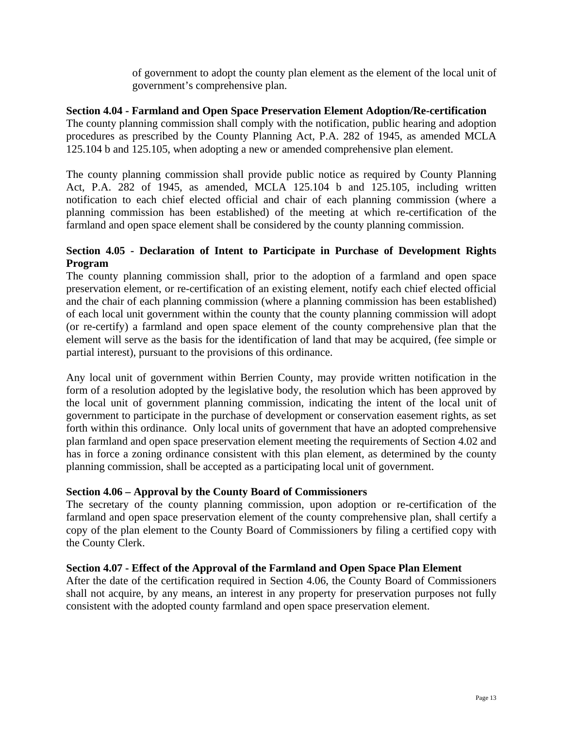of government to adopt the county plan element as the element of the local unit of government's comprehensive plan.

### **Section 4.04 - Farmland and Open Space Preservation Element Adoption/Re-certification**

The county planning commission shall comply with the notification, public hearing and adoption procedures as prescribed by the County Planning Act, P.A. 282 of 1945, as amended MCLA 125.104 b and 125.105, when adopting a new or amended comprehensive plan element.

The county planning commission shall provide public notice as required by County Planning Act, P.A. 282 of 1945, as amended, MCLA 125.104 b and 125.105, including written notification to each chief elected official and chair of each planning commission (where a planning commission has been established) of the meeting at which re-certification of the farmland and open space element shall be considered by the county planning commission.

### **Section 4.05 - Declaration of Intent to Participate in Purchase of Development Rights Program**

The county planning commission shall, prior to the adoption of a farmland and open space preservation element, or re-certification of an existing element, notify each chief elected official and the chair of each planning commission (where a planning commission has been established) of each local unit government within the county that the county planning commission will adopt (or re-certify) a farmland and open space element of the county comprehensive plan that the element will serve as the basis for the identification of land that may be acquired, (fee simple or partial interest), pursuant to the provisions of this ordinance.

Any local unit of government within Berrien County, may provide written notification in the form of a resolution adopted by the legislative body, the resolution which has been approved by the local unit of government planning commission, indicating the intent of the local unit of government to participate in the purchase of development or conservation easement rights, as set forth within this ordinance. Only local units of government that have an adopted comprehensive plan farmland and open space preservation element meeting the requirements of Section 4.02 and has in force a zoning ordinance consistent with this plan element, as determined by the county planning commission, shall be accepted as a participating local unit of government.

### **Section 4.06 – Approval by the County Board of Commissioners**

The secretary of the county planning commission, upon adoption or re-certification of the farmland and open space preservation element of the county comprehensive plan, shall certify a copy of the plan element to the County Board of Commissioners by filing a certified copy with the County Clerk.

### **Section 4.07 - Effect of the Approval of the Farmland and Open Space Plan Element**

After the date of the certification required in Section 4.06, the County Board of Commissioners shall not acquire, by any means, an interest in any property for preservation purposes not fully consistent with the adopted county farmland and open space preservation element.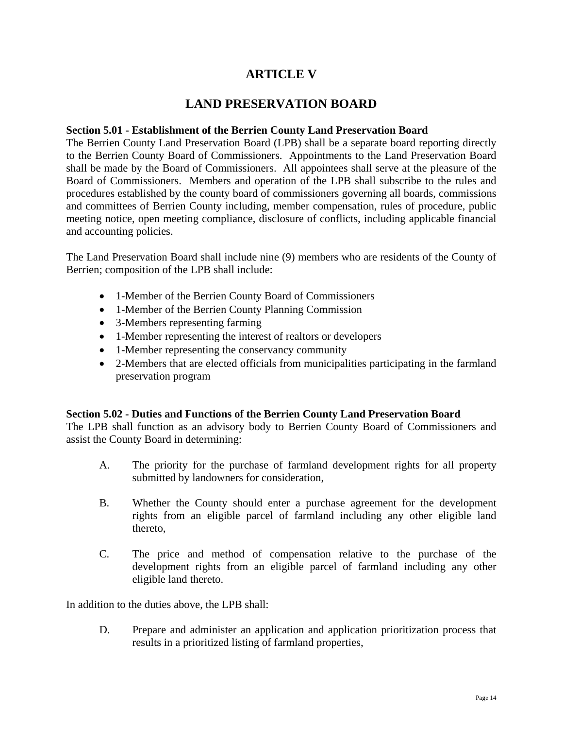# **ARTICLE V**

### **LAND PRESERVATION BOARD**

#### **Section 5.01 - Establishment of the Berrien County Land Preservation Board**

The Berrien County Land Preservation Board (LPB) shall be a separate board reporting directly to the Berrien County Board of Commissioners. Appointments to the Land Preservation Board shall be made by the Board of Commissioners. All appointees shall serve at the pleasure of the Board of Commissioners. Members and operation of the LPB shall subscribe to the rules and procedures established by the county board of commissioners governing all boards, commissions and committees of Berrien County including, member compensation, rules of procedure, public meeting notice, open meeting compliance, disclosure of conflicts, including applicable financial and accounting policies.

The Land Preservation Board shall include nine (9) members who are residents of the County of Berrien; composition of the LPB shall include:

- 1-Member of the Berrien County Board of Commissioners
- 1-Member of the Berrien County Planning Commission
- 3-Members representing farming
- 1-Member representing the interest of realtors or developers
- 1-Member representing the conservancy community
- 2-Members that are elected officials from municipalities participating in the farmland preservation program

### **Section 5.02 - Duties and Functions of the Berrien County Land Preservation Board**

The LPB shall function as an advisory body to Berrien County Board of Commissioners and assist the County Board in determining:

- A. The priority for the purchase of farmland development rights for all property submitted by landowners for consideration,
- B. Whether the County should enter a purchase agreement for the development rights from an eligible parcel of farmland including any other eligible land thereto,
- C. The price and method of compensation relative to the purchase of the development rights from an eligible parcel of farmland including any other eligible land thereto.

In addition to the duties above, the LPB shall:

D. Prepare and administer an application and application prioritization process that results in a prioritized listing of farmland properties,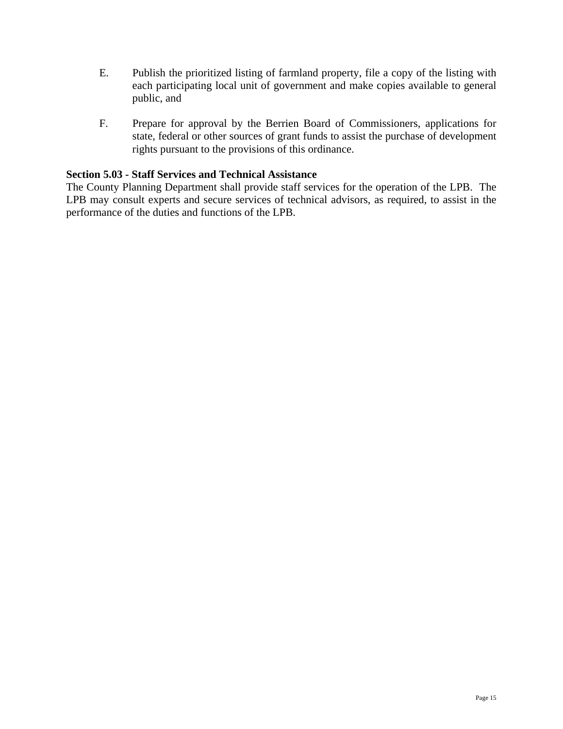- E. Publish the prioritized listing of farmland property, file a copy of the listing with each participating local unit of government and make copies available to general public, and
- F. Prepare for approval by the Berrien Board of Commissioners, applications for state, federal or other sources of grant funds to assist the purchase of development rights pursuant to the provisions of this ordinance.

### **Section 5.03 - Staff Services and Technical Assistance**

The County Planning Department shall provide staff services for the operation of the LPB. The LPB may consult experts and secure services of technical advisors, as required, to assist in the performance of the duties and functions of the LPB.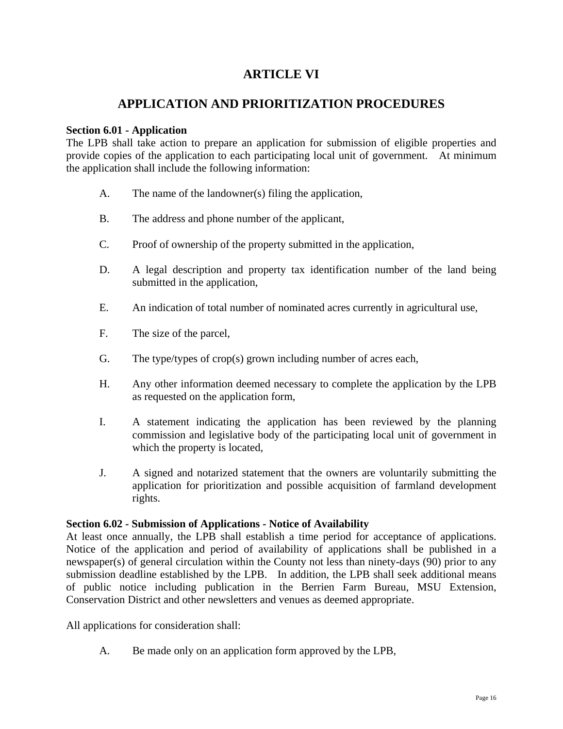# **ARTICLE VI**

# **APPLICATION AND PRIORITIZATION PROCEDURES**

### **Section 6.01 - Application**

The LPB shall take action to prepare an application for submission of eligible properties and provide copies of the application to each participating local unit of government. At minimum the application shall include the following information:

- A. The name of the landowner(s) filing the application,
- B. The address and phone number of the applicant,
- C. Proof of ownership of the property submitted in the application,
- D. A legal description and property tax identification number of the land being submitted in the application,
- E. An indication of total number of nominated acres currently in agricultural use,
- F. The size of the parcel,
- G. The type/types of crop(s) grown including number of acres each,
- H. Any other information deemed necessary to complete the application by the LPB as requested on the application form,
- I. A statement indicating the application has been reviewed by the planning commission and legislative body of the participating local unit of government in which the property is located,
- J. A signed and notarized statement that the owners are voluntarily submitting the application for prioritization and possible acquisition of farmland development rights.

### **Section 6.02 - Submission of Applications - Notice of Availability**

At least once annually, the LPB shall establish a time period for acceptance of applications. Notice of the application and period of availability of applications shall be published in a newspaper(s) of general circulation within the County not less than ninety-days (90) prior to any submission deadline established by the LPB. In addition, the LPB shall seek additional means of public notice including publication in the Berrien Farm Bureau, MSU Extension, Conservation District and other newsletters and venues as deemed appropriate.

All applications for consideration shall:

A. Be made only on an application form approved by the LPB,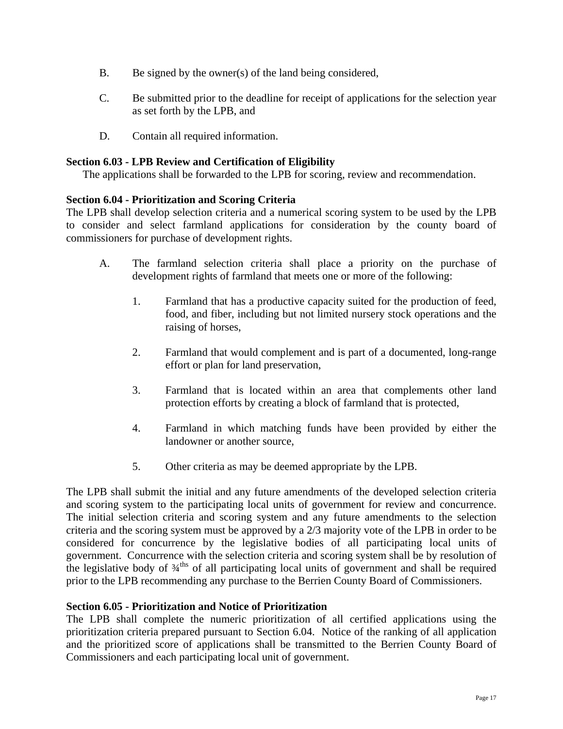- B. Be signed by the owner(s) of the land being considered,
- C. Be submitted prior to the deadline for receipt of applications for the selection year as set forth by the LPB, and
- D. Contain all required information.

### **Section 6.03 - LPB Review and Certification of Eligibility**

The applications shall be forwarded to the LPB for scoring, review and recommendation.

### **Section 6.04 - Prioritization and Scoring Criteria**

The LPB shall develop selection criteria and a numerical scoring system to be used by the LPB to consider and select farmland applications for consideration by the county board of commissioners for purchase of development rights.

- A. The farmland selection criteria shall place a priority on the purchase of development rights of farmland that meets one or more of the following:
	- 1. Farmland that has a productive capacity suited for the production of feed, food, and fiber, including but not limited nursery stock operations and the raising of horses,
	- 2. Farmland that would complement and is part of a documented, long-range effort or plan for land preservation,
	- 3. Farmland that is located within an area that complements other land protection efforts by creating a block of farmland that is protected,
	- 4. Farmland in which matching funds have been provided by either the landowner or another source,
	- 5. Other criteria as may be deemed appropriate by the LPB.

The LPB shall submit the initial and any future amendments of the developed selection criteria and scoring system to the participating local units of government for review and concurrence. The initial selection criteria and scoring system and any future amendments to the selection criteria and the scoring system must be approved by a 2/3 majority vote of the LPB in order to be considered for concurrence by the legislative bodies of all participating local units of government. Concurrence with the selection criteria and scoring system shall be by resolution of the legislative body of  $\frac{3}{4}$ <sup>ths</sup> of all participating local units of government and shall be required prior to the LPB recommending any purchase to the Berrien County Board of Commissioners.

### **Section 6.05 - Prioritization and Notice of Prioritization**

The LPB shall complete the numeric prioritization of all certified applications using the prioritization criteria prepared pursuant to Section 6.04. Notice of the ranking of all application and the prioritized score of applications shall be transmitted to the Berrien County Board of Commissioners and each participating local unit of government.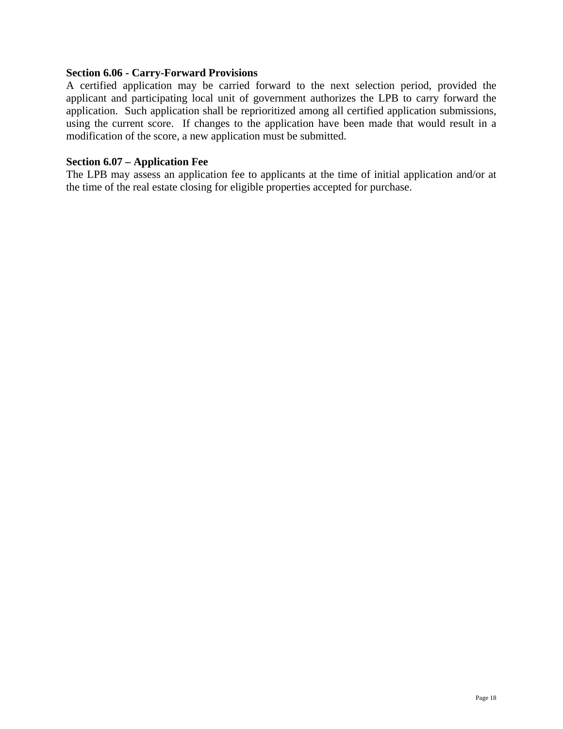### **Section 6.06 - Carry-Forward Provisions**

A certified application may be carried forward to the next selection period, provided the applicant and participating local unit of government authorizes the LPB to carry forward the application. Such application shall be reprioritized among all certified application submissions, using the current score. If changes to the application have been made that would result in a modification of the score, a new application must be submitted.

#### **Section 6.07 – Application Fee**

The LPB may assess an application fee to applicants at the time of initial application and/or at the time of the real estate closing for eligible properties accepted for purchase.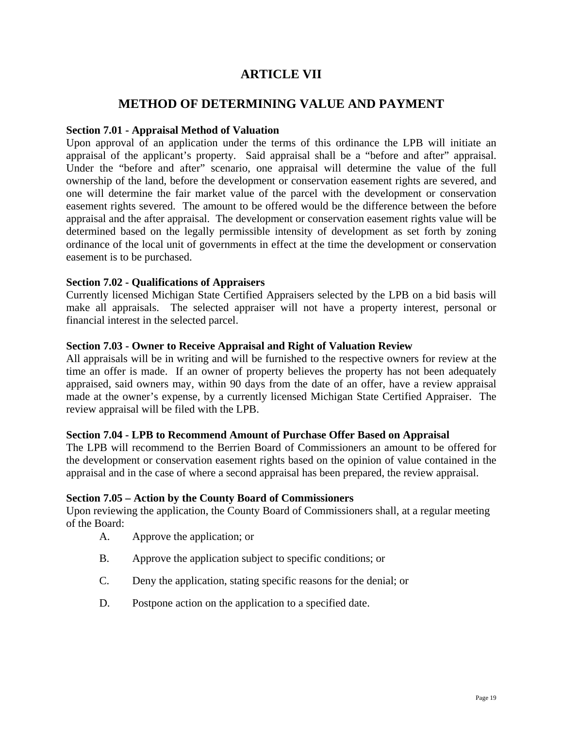# **ARTICLE VII**

### **METHOD OF DETERMINING VALUE AND PAYMENT**

### **Section 7.01 - Appraisal Method of Valuation**

Upon approval of an application under the terms of this ordinance the LPB will initiate an appraisal of the applicant's property. Said appraisal shall be a "before and after" appraisal. Under the "before and after" scenario, one appraisal will determine the value of the full ownership of the land, before the development or conservation easement rights are severed, and one will determine the fair market value of the parcel with the development or conservation easement rights severed. The amount to be offered would be the difference between the before appraisal and the after appraisal. The development or conservation easement rights value will be determined based on the legally permissible intensity of development as set forth by zoning ordinance of the local unit of governments in effect at the time the development or conservation easement is to be purchased.

### **Section 7.02 - Qualifications of Appraisers**

Currently licensed Michigan State Certified Appraisers selected by the LPB on a bid basis will make all appraisals. The selected appraiser will not have a property interest, personal or financial interest in the selected parcel.

### **Section 7.03 - Owner to Receive Appraisal and Right of Valuation Review**

All appraisals will be in writing and will be furnished to the respective owners for review at the time an offer is made. If an owner of property believes the property has not been adequately appraised, said owners may, within 90 days from the date of an offer, have a review appraisal made at the owner's expense, by a currently licensed Michigan State Certified Appraiser. The review appraisal will be filed with the LPB.

### **Section 7.04 - LPB to Recommend Amount of Purchase Offer Based on Appraisal**

The LPB will recommend to the Berrien Board of Commissioners an amount to be offered for the development or conservation easement rights based on the opinion of value contained in the appraisal and in the case of where a second appraisal has been prepared, the review appraisal.

### **Section 7.05 – Action by the County Board of Commissioners**

Upon reviewing the application, the County Board of Commissioners shall, at a regular meeting of the Board:

- A. Approve the application; or
- B. Approve the application subject to specific conditions; or
- C. Deny the application, stating specific reasons for the denial; or
- D. Postpone action on the application to a specified date.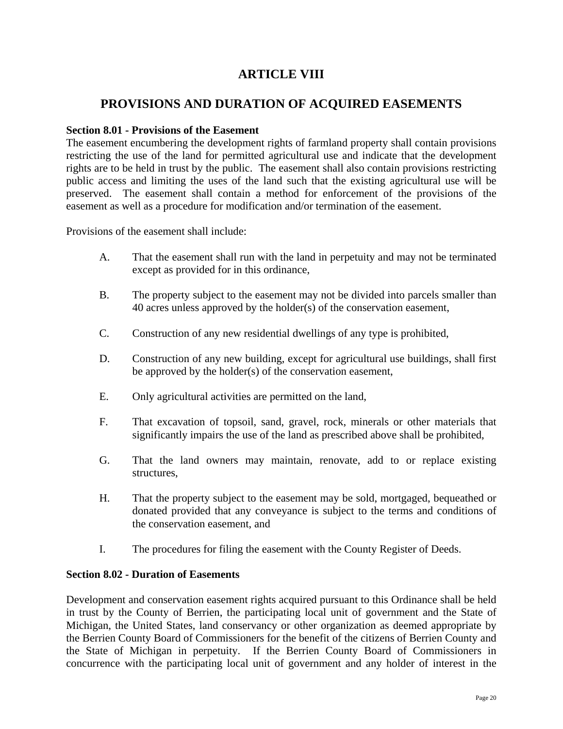# **ARTICLE VIII**

### **PROVISIONS AND DURATION OF ACQUIRED EASEMENTS**

### **Section 8.01 - Provisions of the Easement**

The easement encumbering the development rights of farmland property shall contain provisions restricting the use of the land for permitted agricultural use and indicate that the development rights are to be held in trust by the public. The easement shall also contain provisions restricting public access and limiting the uses of the land such that the existing agricultural use will be preserved. The easement shall contain a method for enforcement of the provisions of the easement as well as a procedure for modification and/or termination of the easement.

Provisions of the easement shall include:

- A. That the easement shall run with the land in perpetuity and may not be terminated except as provided for in this ordinance,
- B. The property subject to the easement may not be divided into parcels smaller than 40 acres unless approved by the holder(s) of the conservation easement,
- C. Construction of any new residential dwellings of any type is prohibited,
- D. Construction of any new building, except for agricultural use buildings, shall first be approved by the holder(s) of the conservation easement,
- E. Only agricultural activities are permitted on the land,
- F. That excavation of topsoil, sand, gravel, rock, minerals or other materials that significantly impairs the use of the land as prescribed above shall be prohibited,
- G. That the land owners may maintain, renovate, add to or replace existing structures,
- H. That the property subject to the easement may be sold, mortgaged, bequeathed or donated provided that any conveyance is subject to the terms and conditions of the conservation easement, and
- I. The procedures for filing the easement with the County Register of Deeds.

### **Section 8.02 - Duration of Easements**

Development and conservation easement rights acquired pursuant to this Ordinance shall be held in trust by the County of Berrien, the participating local unit of government and the State of Michigan, the United States, land conservancy or other organization as deemed appropriate by the Berrien County Board of Commissioners for the benefit of the citizens of Berrien County and the State of Michigan in perpetuity. If the Berrien County Board of Commissioners in concurrence with the participating local unit of government and any holder of interest in the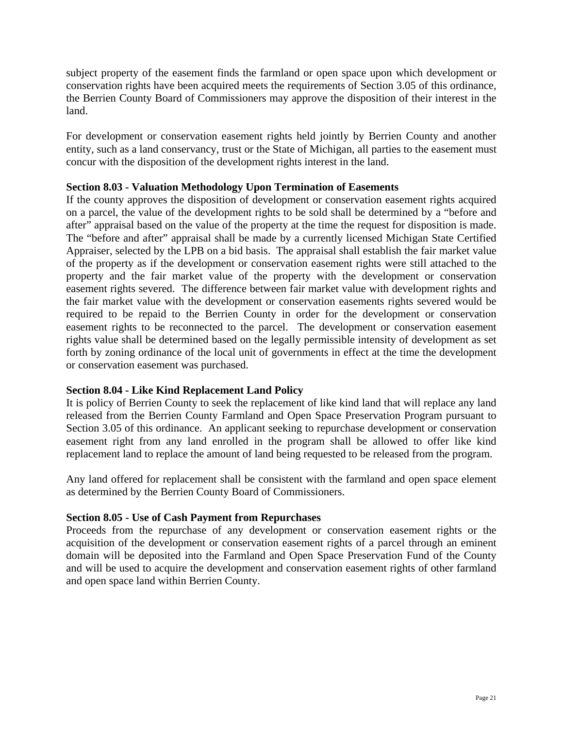subject property of the easement finds the farmland or open space upon which development or conservation rights have been acquired meets the requirements of Section 3.05 of this ordinance, the Berrien County Board of Commissioners may approve the disposition of their interest in the land.

For development or conservation easement rights held jointly by Berrien County and another entity, such as a land conservancy, trust or the State of Michigan, all parties to the easement must concur with the disposition of the development rights interest in the land.

### **Section 8.03 - Valuation Methodology Upon Termination of Easements**

If the county approves the disposition of development or conservation easement rights acquired on a parcel, the value of the development rights to be sold shall be determined by a "before and after" appraisal based on the value of the property at the time the request for disposition is made. The "before and after" appraisal shall be made by a currently licensed Michigan State Certified Appraiser, selected by the LPB on a bid basis. The appraisal shall establish the fair market value of the property as if the development or conservation easement rights were still attached to the property and the fair market value of the property with the development or conservation easement rights severed. The difference between fair market value with development rights and the fair market value with the development or conservation easements rights severed would be required to be repaid to the Berrien County in order for the development or conservation easement rights to be reconnected to the parcel. The development or conservation easement rights value shall be determined based on the legally permissible intensity of development as set forth by zoning ordinance of the local unit of governments in effect at the time the development or conservation easement was purchased.

### **Section 8.04 - Like Kind Replacement Land Policy**

It is policy of Berrien County to seek the replacement of like kind land that will replace any land released from the Berrien County Farmland and Open Space Preservation Program pursuant to Section 3.05 of this ordinance. An applicant seeking to repurchase development or conservation easement right from any land enrolled in the program shall be allowed to offer like kind replacement land to replace the amount of land being requested to be released from the program.

Any land offered for replacement shall be consistent with the farmland and open space element as determined by the Berrien County Board of Commissioners.

### **Section 8.05 - Use of Cash Payment from Repurchases**

Proceeds from the repurchase of any development or conservation easement rights or the acquisition of the development or conservation easement rights of a parcel through an eminent domain will be deposited into the Farmland and Open Space Preservation Fund of the County and will be used to acquire the development and conservation easement rights of other farmland and open space land within Berrien County.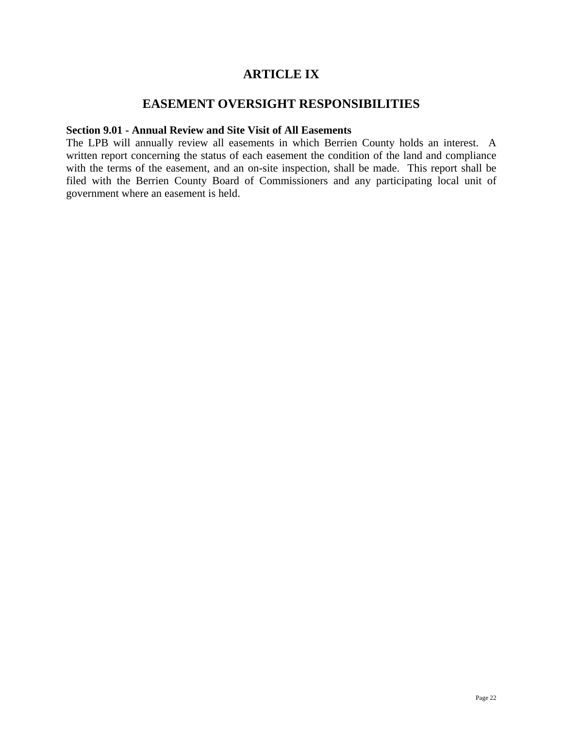# **ARTICLE IX**

### **EASEMENT OVERSIGHT RESPONSIBILITIES**

#### **Section 9.01 - Annual Review and Site Visit of All Easements**

The LPB will annually review all easements in which Berrien County holds an interest. A written report concerning the status of each easement the condition of the land and compliance with the terms of the easement, and an on-site inspection, shall be made. This report shall be filed with the Berrien County Board of Commissioners and any participating local unit of government where an easement is held.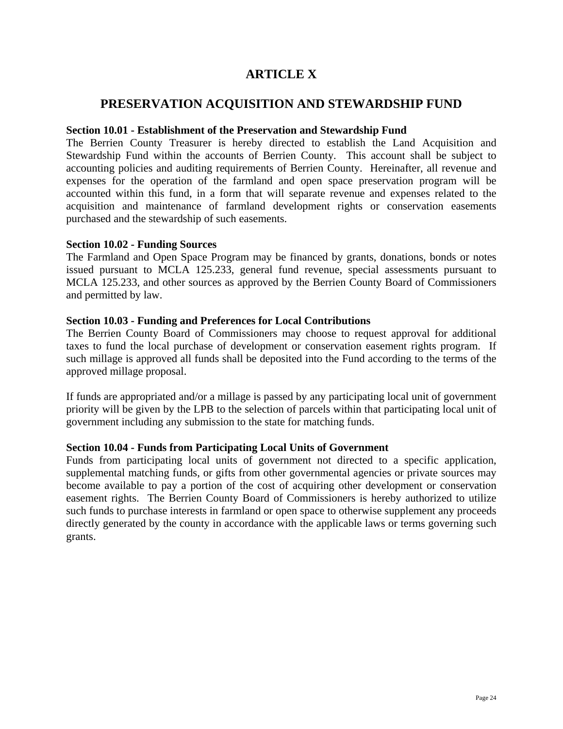# **ARTICLE X**

### **PRESERVATION ACQUISITION AND STEWARDSHIP FUND**

#### **Section 10.01 - Establishment of the Preservation and Stewardship Fund**

The Berrien County Treasurer is hereby directed to establish the Land Acquisition and Stewardship Fund within the accounts of Berrien County. This account shall be subject to accounting policies and auditing requirements of Berrien County. Hereinafter, all revenue and expenses for the operation of the farmland and open space preservation program will be accounted within this fund, in a form that will separate revenue and expenses related to the acquisition and maintenance of farmland development rights or conservation easements purchased and the stewardship of such easements.

#### **Section 10.02 - Funding Sources**

The Farmland and Open Space Program may be financed by grants, donations, bonds or notes issued pursuant to MCLA 125.233, general fund revenue, special assessments pursuant to MCLA 125.233, and other sources as approved by the Berrien County Board of Commissioners and permitted by law.

### **Section 10.03 - Funding and Preferences for Local Contributions**

The Berrien County Board of Commissioners may choose to request approval for additional taxes to fund the local purchase of development or conservation easement rights program. If such millage is approved all funds shall be deposited into the Fund according to the terms of the approved millage proposal.

If funds are appropriated and/or a millage is passed by any participating local unit of government priority will be given by the LPB to the selection of parcels within that participating local unit of government including any submission to the state for matching funds.

### **Section 10.04 - Funds from Participating Local Units of Government**

Funds from participating local units of government not directed to a specific application, supplemental matching funds, or gifts from other governmental agencies or private sources may become available to pay a portion of the cost of acquiring other development or conservation easement rights. The Berrien County Board of Commissioners is hereby authorized to utilize such funds to purchase interests in farmland or open space to otherwise supplement any proceeds directly generated by the county in accordance with the applicable laws or terms governing such grants.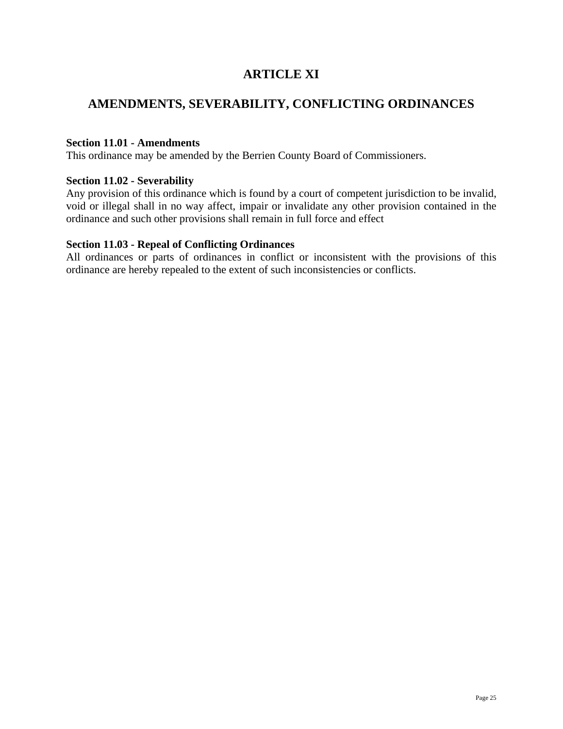# **ARTICLE XI**

# **AMENDMENTS, SEVERABILITY, CONFLICTING ORDINANCES**

### **Section 11.01 - Amendments**

This ordinance may be amended by the Berrien County Board of Commissioners.

### **Section 11.02 - Severability**

Any provision of this ordinance which is found by a court of competent jurisdiction to be invalid, void or illegal shall in no way affect, impair or invalidate any other provision contained in the ordinance and such other provisions shall remain in full force and effect

### **Section 11.03 - Repeal of Conflicting Ordinances**

All ordinances or parts of ordinances in conflict or inconsistent with the provisions of this ordinance are hereby repealed to the extent of such inconsistencies or conflicts.